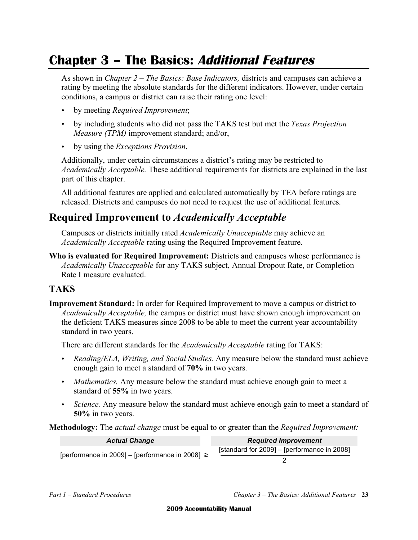# **Chapter 3 – The Basics: Additional Features**

As shown in *Chapter 2 – The Basics: Base Indicators,* districts and campuses can achieve a rating by meeting the absolute standards for the different indicators. However, under certain conditions, a campus or district can raise their rating one level:

- • by meeting *Required Improvement*;
- • by including students who did not pass the TAKS test but met the *Texas Projection Measure (TPM)* improvement standard; and/or,
- by using the *Exceptions Provision*.

Additionally, under certain circumstances a district's rating may be restricted to *Academically Acceptable.* These additional requirements for districts are explained in the last part of this chapter.

All additional features are applied and calculated automatically by TEA before ratings are released. Districts and campuses do not need to request the use of additional features.

### **Required Improvement to** *Academically Acceptable*

Campuses or districts initially rated *Academically Unacceptable* may achieve an *Academically Acceptable* rating using the Required Improvement feature.

**Who is evaluated for Required Improvement:** Districts and campuses whose performance is *Academically Unacceptable* for any TAKS subject, Annual Dropout Rate, or Completion Rate I measure evaluated.

#### **TAKS**

**Improvement Standard:** In order for Required Improvement to move a campus or district to *Academically Acceptable,* the campus or district must have shown enough improvement on the deficient TAKS measures since 2008 to be able to meet the current year accountability standard in two years.

There are different standards for the *Academically Acceptable* rating for TAKS:

- • *Reading/ELA, Writing, and Social Studies.* Any measure below the standard must achieve enough gain to meet a standard of **70%** in two years.
- *Mathematics*. Any measure below the standard must achieve enough gain to meet a standard of **55%** in two years.
- *Science*. Any measure below the standard must achieve enough gain to meet a standard of **50%** in two years.

**Methodology:** The *actual change* must be equal to or greater than the *Required Improvement:* 

| <b>Actual Change</b>                                | <b>Required Improvement</b>                 |
|-----------------------------------------------------|---------------------------------------------|
| [performance in 2009] – [performance in 2008] $\ge$ | [standard for 2009] - [performance in 2008] |
|                                                     |                                             |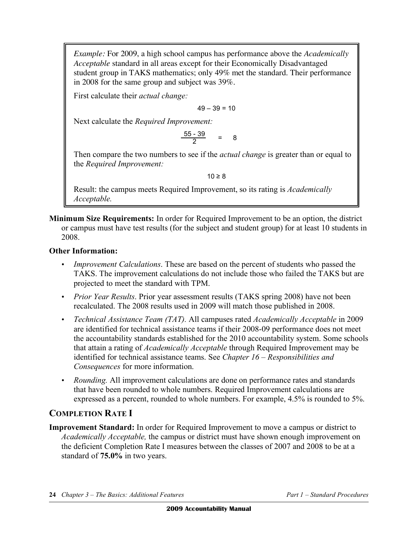*Example:* For 2009, a high school campus has performance above the *Academically Acceptable* standard in all areas except for their Economically Disadvantaged student group in TAKS mathematics; only 49% met the standard. Their performance in 2008 for the same group and subject was 39%.

First calculate their *actual change:* 

 $49 - 39 = 10$ 

Next calculate the *Required Improvement:* 

 $\frac{55 - 39}{2} = 8$ 

Then compare the two numbers to see if the *actual change* is greater than or equal to the *Required Improvement:* 

 $10 \geq 8$ 

Result: the campus meets Required Improvement, so its rating is *Academically Acceptable.* 

**Minimum Size Requirements:** In order for Required Improvement to be an option, the district or campus must have test results (for the subject and student group) for at least 10 students in 2008.

#### **Other Information:**

- • *Improvement Calculations*. These are based on the percent of students who passed the TAKS. The improvement calculations do not include those who failed the TAKS but are projected to meet the standard with TPM.
- *Prior Year Results*. Prior year assessment results (TAKS spring 2008) have not been recalculated. The 2008 results used in 2009 will match those published in 2008.
- • *Technical Assistance Team (TAT).* All campuses rated *Academically Acceptable* in 2009 are identified for technical assistance teams if their 2008-09 performance does not meet the accountability standards established for the 2010 accountability system. Some schools that attain a rating of *Academically Acceptable* through Required Improvement may be identified for technical assistance teams. See *Chapter 16 – Responsibilities and Consequences* for more information.
- • *Rounding.* All improvement calculations are done on performance rates and standards that have been rounded to whole numbers. Required Improvement calculations are expressed as a percent, rounded to whole numbers. For example, 4.5% is rounded to 5%.

### **COMPLETION RATE I**

**Improvement Standard:** In order for Required Improvement to move a campus or district to *Academically Acceptable,* the campus or district must have shown enough improvement on the deficient Completion Rate I measures between the classes of 2007 and 2008 to be at a standard of **75.0%** in two years.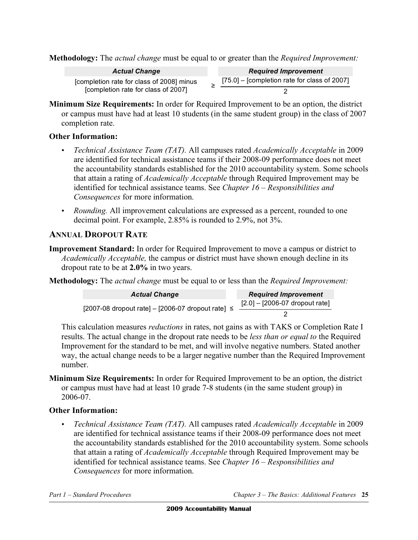**Methodology:** The *actual change* must be equal to or greater than the *Required Improvement:* 

| <b>Actual Change</b>                                                             | <b>Required Improvement</b>                    |  |
|----------------------------------------------------------------------------------|------------------------------------------------|--|
| [completion rate for class of 2008] minus<br>[completion rate for class of 2007] | $[75.0]$ – [completion rate for class of 2007] |  |
|                                                                                  |                                                |  |

**Minimum Size Requirements:** In order for Required Improvement to be an option, the district or campus must have had at least 10 students (in the same student group) in the class of 2007 completion rate.

#### **Other Information:**

- • *Technical Assistance Team (TAT).* All campuses rated *Academically Acceptable* in 2009 are identified for technical assistance teams if their 2008-09 performance does not meet the accountability standards established for the 2010 accountability system. Some schools that attain a rating of *Academically Acceptable* through Required Improvement may be identified for technical assistance teams. See *Chapter 16 – Responsibilities and Consequences* for more information.
- *Rounding.* All improvement calculations are expressed as a percent, rounded to one decimal point. For example, 2.85% is rounded to 2.9%, not 3%.

#### **ANNUAL DROPOUT RATE**

**Improvement Standard:** In order for Required Improvement to move a campus or district to *Academically Acceptable,* the campus or district must have shown enough decline in its dropout rate to be at **2.0%** in two years.

**Methodology:** The *actual change* must be equal to or less than the *Required Improvement:* 

| <b>Actual Change</b>                                    |  | <b>Required Improvement</b>      |
|---------------------------------------------------------|--|----------------------------------|
| [2007-08 dropout rate] $-$ [2006-07 dropout rate] $\le$ |  | $[2.0] - [2006-07$ dropout rate] |
|                                                         |  |                                  |

This calculation measures *reductions* in rates, not gains as with TAKS or Completion Rate I results. The actual change in the dropout rate needs to be *less than or equal to* the Required Improvement for the standard to be met, and will involve negative numbers. Stated another way, the actual change needs to be a larger negative number than the Required Improvement number.

**Minimum Size Requirements:** In order for Required Improvement to be an option, the district or campus must have had at least 10 grade 7-8 students (in the same student group) in 2006-07.

#### **Other Information:**

• *Technical Assistance Team (TAT).* All campuses rated *Academically Acceptable* in 2009 are identified for technical assistance teams if their 2008-09 performance does not meet the accountability standards established for the 2010 accountability system. Some schools that attain a rating of *Academically Acceptable* through Required Improvement may be identified for technical assistance teams. See *Chapter 16 – Responsibilities and Consequences* for more information.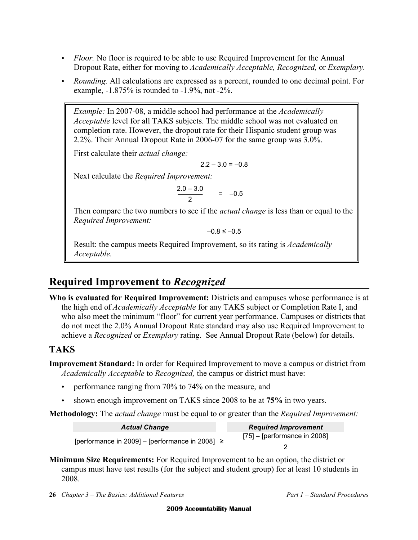- *Floor.* No floor is required to be able to use Required Improvement for the Annual Dropout Rate, either for moving to *Academically Acceptable, Recognized,* or *Exemplary.*
- • *Rounding.* All calculations are expressed as a percent, rounded to one decimal point. For example, -1.875% is rounded to -1.9%, not -2%.

*Example:* In 2007-08, a middle school had performance at the *Academically Acceptable* level for all TAKS subjects. The middle school was not evaluated on completion rate. However, the dropout rate for their Hispanic student group was 2.2%. Their Annual Dropout Rate in 2006-07 for the same group was 3.0%.

First calculate their *actual change:* 

 $2.2 - 3.0 = -0.8$ 

Next calculate the *Required Improvement:* 

 $\frac{2.0 - 3.0}{2}$  = -0.5

Then compare the two numbers to see if the *actual change* is less than or equal to the *Required Improvement:* 

 $-0.8 \le -0.5$ 

Result: the campus meets Required Improvement, so its rating is *Academically Acceptable.* 

# **Required Improvement to** *Recognized*

 **Who is evaluated for Required Improvement:** Districts and campuses whose performance is at the high end of *Academically Acceptable* for any TAKS subject or Completion Rate I, and who also meet the minimum "floor" for current year performance. Campuses or districts that do not meet the 2.0% Annual Dropout Rate standard may also use Required Improvement to achieve a *Recognized* or *Exemplary* rating. See Annual Dropout Rate (below) for details.

### **TAKS**

**Improvement Standard:** In order for Required Improvement to move a campus or district from *Academically Acceptable* to *Recognized,* the campus or district must have:

- • performance ranging from 70% to 74% on the measure, and
- shown enough improvement on TAKS since 2008 to be at **75%** in two years.

**Methodology:** The *actual change* must be equal to or greater than the *Required Improvement:* 

| <b>Actual Change</b>                                | <b>Required Improvement</b>    |  |
|-----------------------------------------------------|--------------------------------|--|
| [performance in 2009] – [performance in 2008] $\ge$ | $[75]$ – [performance in 2008] |  |
|                                                     |                                |  |

 **Minimum Size Requirements:** For Required Improvement to be an option, the district or campus must have test results (for the subject and student group) for at least 10 students in 2008.

 **26** *Chapter 3 – The Basics: Additional Features Part 1 – Standard Procedures*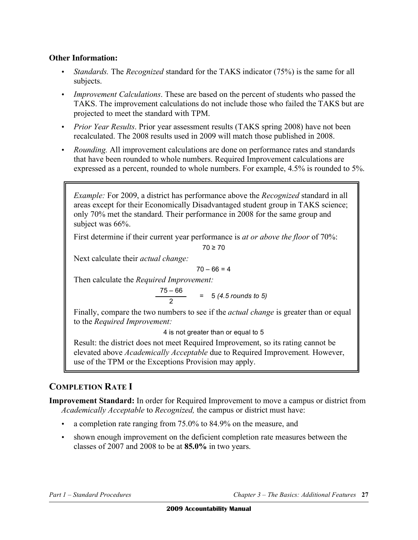#### **Other Information:**

- • *Standards.* The *Recognized* standard for the TAKS indicator (75%) is the same for all subjects.
- • *Improvement Calculations*. These are based on the percent of students who passed the TAKS. The improvement calculations do not include those who failed the TAKS but are projected to meet the standard with TPM.
- *Prior Year Results*. Prior year assessment results (TAKS spring 2008) have not been recalculated. The 2008 results used in 2009 will match those published in 2008.
- • *Rounding.* All improvement calculations are done on performance rates and standards that have been rounded to whole numbers. Required Improvement calculations are expressed as a percent, rounded to whole numbers. For example, 4.5% is rounded to 5%.

*Example:* For 2009, a district has performance above the *Recognized* standard in all areas except for their Economically Disadvantaged student group in TAKS science; only 70% met the standard. Their performance in 2008 for the same group and subject was 66%.

First determine if their current year performance is *at or above the floor* of 70%:

$$
70\geq70
$$

Next calculate their *actual change:* 

 $70 - 66 = 4$ 

Then calculate the *Required Improvement:* 

 $\frac{75 - 66}{2}$  = 5 (4.5 rounds to 5)

Finally, compare the two numbers to see if the *actual change* is greater than or equal to the *Required Improvement:* 

4 is not greater than or equal to 5

Result: the district does not meet Required Improvement, so its rating cannot be elevated above *Academically Acceptable* due to Required Improvement*.* However, use of the TPM or the Exceptions Provision may apply.

#### **COMPLETION RATE I**

**Improvement Standard:** In order for Required Improvement to move a campus or district from *Academically Acceptable* to *Recognized,* the campus or district must have:

- a completion rate ranging from 75.0% to 84.9% on the measure, and
- shown enough improvement on the deficient completion rate measures between the classes of 2007 and 2008 to be at **85.0%** in two years.

*Part 1 – Standard Procedures Chapter 3 – The Basics: Additional Features* **27**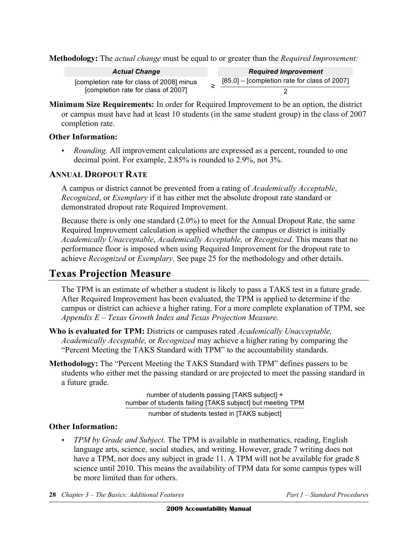**Methodology:** The *actual change* must be equal to or greater than the *Required Improvement:* 

| <b>Actual Change</b>                                                             | <b>Required Improvement</b>                    |
|----------------------------------------------------------------------------------|------------------------------------------------|
| [completion rate for class of 2008] minus<br>[completion rate for class of 2007] | $[85.0]$ – [completion rate for class of 2007] |
|                                                                                  |                                                |

**Minimum Size Requirements:** In order for Required Improvement to be an option, the district or campus must have had at least 10 students (in the same student group) in the class of 2007 completion rate.

#### **Other Information:**

• *Rounding.* All improvement calculations are expressed as a percent, rounded to one decimal point. For example, 2.85% is rounded to 2.9%, not 3%.

#### **ANNUAL DROPOUT RATE**

A campus or district cannot be prevented from a rating of *Academically Acceptable*, *Recognized*, or *Exemplary* if it has either met the absolute dropout rate standard or demonstrated dropout rate Required Improvement.

Because there is only one standard (2.0%) to meet for the Annual Dropout Rate, the same Required Improvement calculation is applied whether the campus or district is initially *Academically Unacceptable*, *Academically Acceptable,* or *Recognized*. This means that no performance floor is imposed when using Required Improvement for the dropout rate to achieve *Recognized* or *Exemplary*. See page 25 for the methodology and other details.

### **Texas Projection Measure**

The TPM is an estimate of whether a student is likely to pass a TAKS test in a future grade. After Required Improvement has been evaluated, the TPM is applied to determine if the campus or district can achieve a higher rating. For a more complete explanation of TPM, see *Appendix E – Texas Growth Index and Texas Projection Measure.* 

- **Who is evaluated for TPM:** Districts or campuses rated *Academically Unacceptable, Academically Acceptable,* or *Recognized* may achieve a higher rating by comparing the "Percent Meeting the TAKS Standard with TPM" to the accountability standards.
- **Methodology:** The "Percent Meeting the TAKS Standard with TPM" defines passers to be students who either met the passing standard or are projected to meet the passing standard in a future grade.

number of students passing [TAKS subject] + number of students failing [TAKS subject] but meeting TPM

number of students tested in [TAKS subject]

#### **Other Information:**

*TPM by Grade and Subject*. The TPM is available in mathematics, reading, English language arts, science, social studies, and writing. However, grade 7 writing does not have a TPM, nor does any subject in grade 11. A TPM will not be available for grade 8 science until 2010. This means the availability of TPM data for some campus types will be more limited than for others.

**28** *Chapter 3 – The Basics: Additional Features Part 1 – Standard Procedures*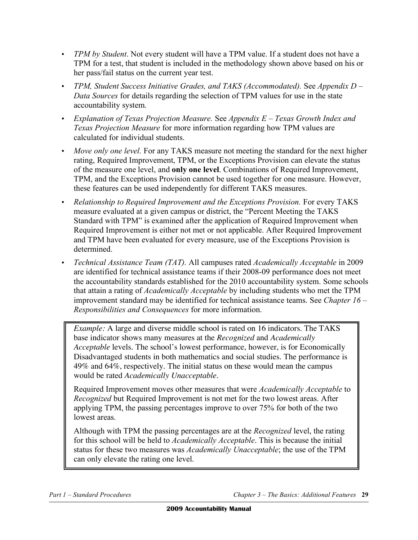- • *TPM by Student*. Not every student will have a TPM value. If a student does not have a TPM for a test, that student is included in the methodology shown above based on his or her pass/fail status on the current year test.
- *TPM, Student Success Initiative Grades, and TAKS (Accommodated).* See *Appendix D Data Sources* for details regarding the selection of TPM values for use in the state accountability system*.*
- • *Explanation of Texas Projection Measure.* See *Appendix E Texas Growth Index and Texas Projection Measure* for more information regarding how TPM values are calculated for individual students.
- *Move only one level*. For any TAKS measure not meeting the standard for the next higher rating, Required Improvement, TPM, or the Exceptions Provision can elevate the status of the measure one level, and **only one level**. Combinations of Required Improvement, TPM, and the Exceptions Provision cannot be used together for one measure. However, these features can be used independently for different TAKS measures.
- *Relationship to Required Improvement and the Exceptions Provision.* For every TAKS measure evaluated at a given campus or district, the "Percent Meeting the TAKS Standard with TPM" is examined after the application of Required Improvement when Required Improvement is either not met or not applicable. After Required Improvement and TPM have been evaluated for every measure, use of the Exceptions Provision is determined.
- • *Technical Assistance Team (TAT).* All campuses rated *Academically Acceptable* in 2009 are identified for technical assistance teams if their 2008-09 performance does not meet the accountability standards established for the 2010 accountability system. Some schools that attain a rating of *Academically Acceptable* by including students who met the TPM improvement standard may be identified for technical assistance teams. See *Chapter 16 – Responsibilities and Consequences* for more information.

*Example:* A large and diverse middle school is rated on 16 indicators. The TAKS base indicator shows many measures at the *Recognized* and *Academically Acceptable* levels. The school's lowest performance, however, is for Economically Disadvantaged students in both mathematics and social studies. The performance is 49% and 64%, respectively. The initial status on these would mean the campus would be rated *Academically Unacceptable.* 

Required Improvement moves other measures that were *Academically Acceptable* to *Recognized* but Required Improvement is not met for the two lowest areas. After applying TPM, the passing percentages improve to over 75% for both of the two lowest areas.

Although with TPM the passing percentages are at the *Recognized* level, the rating for this school will be held to *Academically Acceptable*. This is because the initial status for these two measures was *Academically Unacceptable*; the use of the TPM can only elevate the rating one level.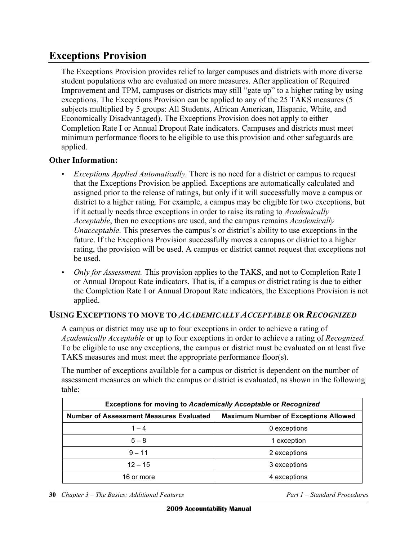# **Exceptions Provision**

The Exceptions Provision provides relief to larger campuses and districts with more diverse student populations who are evaluated on more measures. After application of Required Improvement and TPM, campuses or districts may still "gate up" to a higher rating by using exceptions. The Exceptions Provision can be applied to any of the 25 TAKS measures (5 subjects multiplied by 5 groups: All Students, African American, Hispanic, White, and Economically Disadvantaged). The Exceptions Provision does not apply to either Completion Rate I or Annual Dropout Rate indicators. Campuses and districts must meet minimum performance floors to be eligible to use this provision and other safeguards are applied.

#### **Other Information:**

- *Exceptions Applied Automatically.* There is no need for a district or campus to request that the Exceptions Provision be applied. Exceptions are automatically calculated and assigned prior to the release of ratings, but only if it will successfully move a campus or district to a higher rating. For example, a campus may be eligible for two exceptions, but if it actually needs three exceptions in order to raise its rating to *Academically Acceptable*, then no exceptions are used, and the campus remains *Academically Unacceptable*. This preserves the campus's or district's ability to use exceptions in the future. If the Exceptions Provision successfully moves a campus or district to a higher rating, the provision will be used. A campus or district cannot request that exceptions not be used.
- *Only for Assessment.* This provision applies to the TAKS, and not to Completion Rate I or Annual Dropout Rate indicators. That is, if a campus or district rating is due to either the Completion Rate I or Annual Dropout Rate indicators, the Exceptions Provision is not applied.

#### **USING EXCEPTIONS TO MOVE TO** *ACADEMICALLY ACCEPTABLE* **OR** *RECOGNIZED*

A campus or district may use up to four exceptions in order to achieve a rating of *Academically Acceptable* or up to four exceptions in order to achieve a rating of *Recognized.*  To be eligible to use any exceptions, the campus or district must be evaluated on at least five TAKS measures and must meet the appropriate performance floor(s).

The number of exceptions available for a campus or district is dependent on the number of assessment measures on which the campus or district is evaluated, as shown in the following table:

| <b>Exceptions for moving to Academically Acceptable or Recognized</b> |                                             |  |
|-----------------------------------------------------------------------|---------------------------------------------|--|
| <b>Number of Assessment Measures Evaluated</b>                        | <b>Maximum Number of Exceptions Allowed</b> |  |
| $1 - 4$                                                               | 0 exceptions                                |  |
| $5 - 8$                                                               | 1 exception                                 |  |
| $9 - 11$                                                              | 2 exceptions                                |  |
| $12 - 15$                                                             | 3 exceptions                                |  |
| 16 or more                                                            | 4 exceptions                                |  |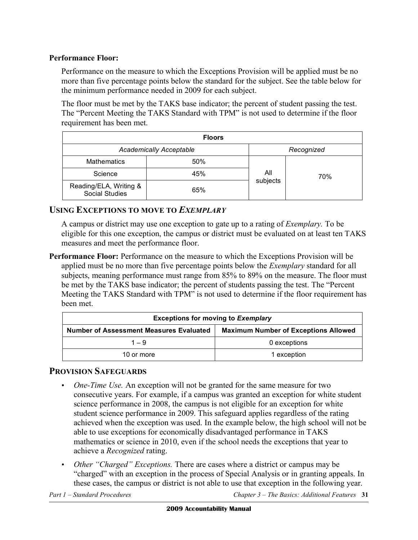#### **Performance Floor:**

Performance on the measure to which the Exceptions Provision will be applied must be no more than five percentage points below the standard for the subject. See the table below for the minimum performance needed in 2009 for each subject.

The floor must be met by the TAKS base indicator; the percent of student passing the test. The "Percent Meeting the TAKS Standard with TPM" is not used to determine if the floor requirement has been met.

| <b>Floors</b>                                   |                                |          |            |  |
|-------------------------------------------------|--------------------------------|----------|------------|--|
|                                                 | <b>Academically Acceptable</b> |          | Recognized |  |
| <b>Mathematics</b>                              | 50%                            |          |            |  |
| Science                                         | 45%                            | All      | 70%        |  |
| Reading/ELA, Writing &<br><b>Social Studies</b> | 65%                            | subjects |            |  |

#### **USING EXCEPTIONS TO MOVE TO** *EXEMPLARY*

A campus or district may use one exception to gate up to a rating of *Exemplary.* To be eligible for this one exception, the campus or district must be evaluated on at least ten TAKS measures and meet the performance floor.

**Performance Floor:** Performance on the measure to which the Exceptions Provision will be applied must be no more than five percentage points below the *Exemplary* standard for all subjects, meaning performance must range from 85% to 89% on the measure. The floor must be met by the TAKS base indicator; the percent of students passing the test. The "Percent Meeting the TAKS Standard with TPM" is not used to determine if the floor requirement has been met.

| <b>Exceptions for moving to Exemplary</b>      |                                             |  |
|------------------------------------------------|---------------------------------------------|--|
| <b>Number of Assessment Measures Evaluated</b> | <b>Maximum Number of Exceptions Allowed</b> |  |
| $1 - 9$                                        | 0 exceptions                                |  |
| 10 or more                                     | 1 exception                                 |  |

#### **PROVISION SAFEGUARDS**

- *One-Time Use.* An exception will not be granted for the same measure for two consecutive years. For example, if a campus was granted an exception for white student science performance in 2008, the campus is not eligible for an exception for white student science performance in 2009. This safeguard applies regardless of the rating achieved when the exception was used. In the example below, the high school will not be able to use exceptions for economically disadvantaged performance in TAKS mathematics or science in 2010, even if the school needs the exceptions that year to achieve a *Recognized* rating.
- • *Other "Charged" Exceptions.* There are cases where a district or campus may be "charged" with an exception in the process of Special Analysis or in granting appeals. In these cases, the campus or district is not able to use that exception in the following year.

*Part 1 – Standard Procedures Chapter 3 – The Basics: Additional Features* **31**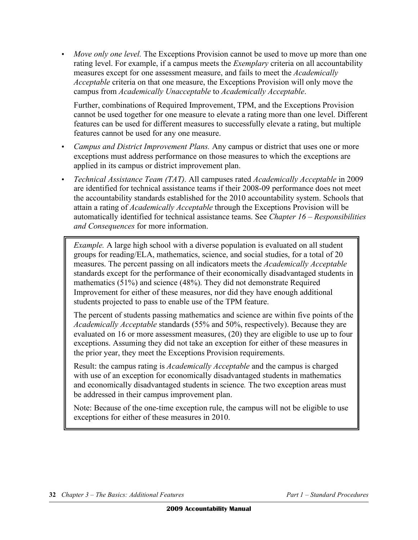• *Move only one level.* The Exceptions Provision cannot be used to move up more than one rating level. For example, if a campus meets the *Exemplary* criteria on all accountability measures except for one assessment measure, and fails to meet the *Academically Acceptable* criteria on that one measure, the Exceptions Provision will only move the campus from *Academically Unacceptable* to *Academically Acceptable*.

Further, combinations of Required Improvement, TPM, and the Exceptions Provision cannot be used together for one measure to elevate a rating more than one level. Different features can be used for different measures to successfully elevate a rating, but multiple features cannot be used for any one measure.

- *Campus and District Improvement Plans.* Any campus or district that uses one or more exceptions must address performance on those measures to which the exceptions are applied in its campus or district improvement plan.
- • *Technical Assistance Team (TAT).* All campuses rated *Academically Acceptable* in 2009 are identified for technical assistance teams if their 2008-09 performance does not meet the accountability standards established for the 2010 accountability system. Schools that attain a rating of *Academically Acceptable* through the Exceptions Provision will be automatically identified for technical assistance teams. See *Chapter 16 – Responsibilities and Consequences* for more information.

*Example.* A large high school with a diverse population is evaluated on all student groups for reading/ELA, mathematics, science, and social studies, for a total of 20 measures. The percent passing on all indicators meets the *Academically Acceptable*  standards except for the performance of their economically disadvantaged students in mathematics (51%) and science (48%). They did not demonstrate Required Improvement for either of these measures, nor did they have enough additional students projected to pass to enable use of the TPM feature.

The percent of students passing mathematics and science are within five points of the *Academically Acceptable* standards (55% and 50%, respectively). Because they are evaluated on 16 or more assessment measures, (20) they are eligible to use up to four exceptions. Assuming they did not take an exception for either of these measures in the prior year, they meet the Exceptions Provision requirements.

Result: the campus rating is *Academically Acceptable* and the campus is charged with use of an exception for economically disadvantaged students in mathematics and economically disadvantaged students in science*.* The two exception areas must be addressed in their campus improvement plan.

Note: Because of the one-time exception rule, the campus will not be eligible to use exceptions for either of these measures in 2010.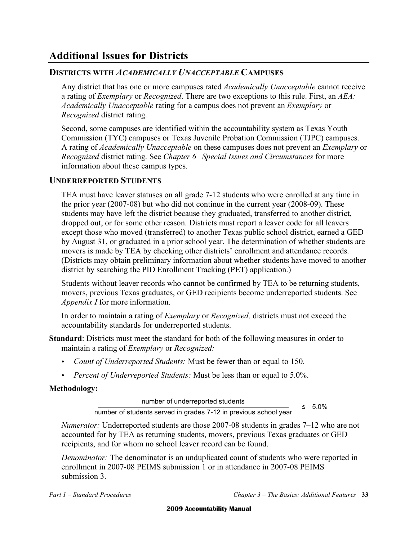# **Additional Issues for Districts**

#### **DISTRICTS WITH** *ACADEMICALLY UNACCEPTABLE* **CAMPUSES**

Any district that has one or more campuses rated *Academically Unacceptable* cannot receive a rating of *Exemplary* or *Recognized*. There are two exceptions to this rule. First, an *AEA: Academically Unacceptable* rating for a campus does not prevent an *Exemplary* or *Recognized* district rating.

Second, some campuses are identified within the accountability system as Texas Youth Commission (TYC) campuses or Texas Juvenile Probation Commission (TJPC) campuses. A rating of *Academically Unacceptable* on these campuses does not prevent an *Exemplary* or *Recognized* district rating. See *Chapter 6 –Special Issues and Circumstances* for more information about these campus types.

#### **UNDERREPORTED STUDENTS**

TEA must have leaver statuses on all grade 7-12 students who were enrolled at any time in the prior year (2007-08) but who did not continue in the current year (2008-09). These students may have left the district because they graduated, transferred to another district, dropped out, or for some other reason. Districts must report a leaver code for all leavers except those who moved (transferred) to another Texas public school district, earned a GED by August 31, or graduated in a prior school year. The determination of whether students are movers is made by TEA by checking other districts' enrollment and attendance records. (Districts may obtain preliminary information about whether students have moved to another district by searching the PID Enrollment Tracking (PET) application.)

Students without leaver records who cannot be confirmed by TEA to be returning students, movers, previous Texas graduates, or GED recipients become underreported students. See *Appendix I* for more information.

In order to maintain a rating of *Exemplary* or *Recognized,* districts must not exceed the accountability standards for underreported students.

- **Standard**: Districts must meet the standard for both of the following measures in order to maintain a rating of *Exemplary* or *Recognized:* 
	- *Count of Underreported Students:* Must be fewer than or equal to 150.
	- *Percent of Underreported Students:* Must be less than or equal to 5.0%.

#### **Methodology:**

number of underreported students <br>
≤ 5.0% number of students served in grades 7-12 in previous school year

*Numerator:* Underreported students are those 2007-08 students in grades 7–12 who are not accounted for by TEA as returning students, movers, previous Texas graduates or GED recipients, and for whom no school leaver record can be found.

*Denominator:* The denominator is an unduplicated count of students who were reported in enrollment in 2007-08 PEIMS submission 1 or in attendance in 2007-08 PEIMS submission 3.

**Part 1 – Standard Procedures** 

*Part 3 – The Basics: Additional Features* 33